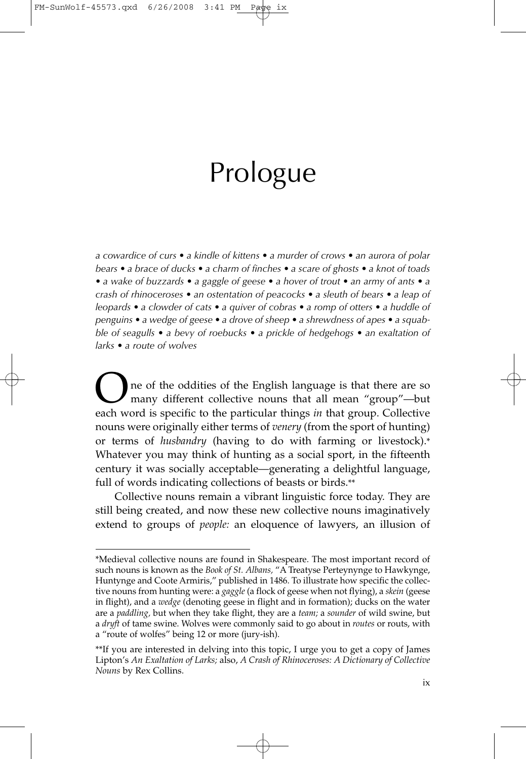# Prologue

*a cowardice of curs • a kindle of kittens • a murder of crows • an aurora of polar bears • a brace of ducks • a charm of finches • a scare of ghosts • a knot of toads • a wake of buzzards • a gaggle of geese • a hover of trout • an army of ants • a crash of rhinoceroses • an ostentation of peacocks • a sleuth of bears • a leap of leopards • a clowder of cats • a quiver of cobras • a romp of otters • a huddle of penguins • a wedge of geese • a drove of sheep • a shrewdness of apes • a squabble of seagulls • a bevy of roebucks • a prickle of hedgehogs • an exaltation of larks • a route of wolves*

ne of the oddities of the English language is that there are so many different collective nouns that all mean "group"—but each word is specific to the particular things *in* that group. Collective nouns were originally either terms of *venery* (from the sport of hunting) or terms of *husbandry* (having to do with farming or livestock).\* Whatever you may think of hunting as a social sport, in the fifteenth century it was socially acceptable—generating a delightful language, full of words indicating collections of beasts or birds.\*\*

Collective nouns remain a vibrant linguistic force today. They are still being created, and now these new collective nouns imaginatively extend to groups of *people:* an eloquence of lawyers, an illusion of

<sup>\*</sup>Medieval collective nouns are found in Shakespeare. The most important record of such nouns is known as the *Book of St. Albans,* "A Treatyse Perteynynge to Hawkynge, Huntynge and Coote Armiris," published in 1486. To illustrate how specific the collective nouns from hunting were: a *gaggle* (a flock of geese when not flying), a *skein* (geese in flight), and a *wedge* (denoting geese in flight and in formation); ducks on the water are a *paddling,* but when they take flight, they are a *team;* a *sounder* of wild swine, but a *dryft* of tame swine. Wolves were commonly said to go about in *routes* or routs, with a "route of wolfes" being 12 or more (jury-ish).

<sup>\*\*</sup>If you are interested in delving into this topic, I urge you to get a copy of James Lipton's *An Exaltation of Larks;* also, *A Crash of Rhinoceroses: A Dictionary of Collective Nouns* by Rex Collins.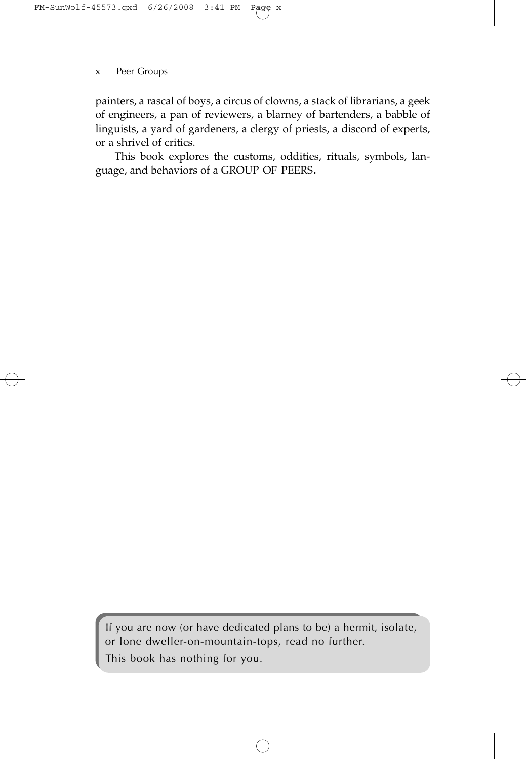# x Peer Groups

painters, a rascal of boys, a circus of clowns, a stack of librarians, a geek of engineers, a pan of reviewers, a blarney of bartenders, a babble of linguists, a yard of gardeners, a clergy of priests, a discord of experts, or a shrivel of critics.

This book explores the customs, oddities, rituals, symbols, language, and behaviors of a GROUP OF PEERS.

If you are now (or have dedicated plans to be) a hermit, isolate, or lone dweller-on-mountain-tops, read no further. This book has nothing for you.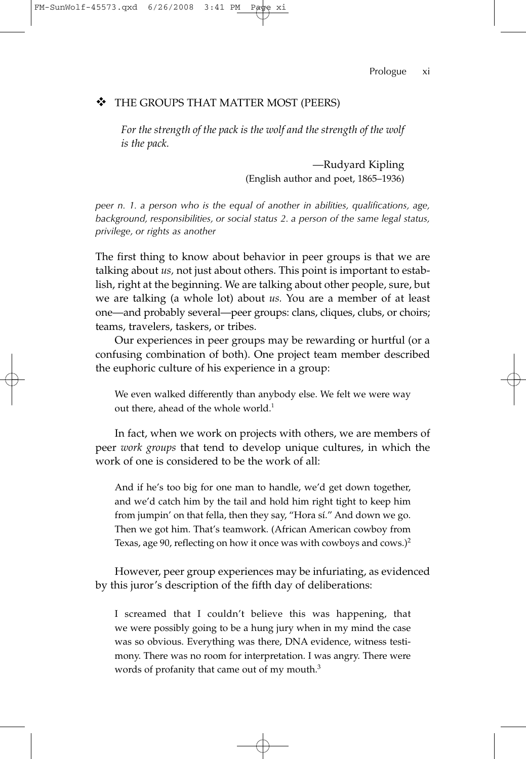## Prologue xi

### $FM-SunWolf-45573.qxd 6/26/2008 3:41$

# **\*** THE GROUPS THAT MATTER MOST (PEERS)

*For the strength of the pack is the wolf and the strength of the wolf is the pack.*

> —Rudyard Kipling (English author and poet, 1865–1936)

*peer n. 1. a person who is the equal of another in abilities, qualifications, age, background, responsibilities, or social status 2. a person of the same legal status, privilege, or rights as another*

The first thing to know about behavior in peer groups is that we are talking about *us,* not just about others. This point is important to establish, right at the beginning. We are talking about other people, sure, but we are talking (a whole lot) about *us.* You are a member of at least one—and probably several—peer groups: clans, cliques, clubs, or choirs; teams, travelers, taskers, or tribes.

Our experiences in peer groups may be rewarding or hurtful (or a confusing combination of both). One project team member described the euphoric culture of his experience in a group:

We even walked differently than anybody else. We felt we were way out there, ahead of the whole world.<sup>1</sup>

In fact, when we work on projects with others, we are members of peer *work groups* that tend to develop unique cultures, in which the work of one is considered to be the work of all:

And if he's too big for one man to handle, we'd get down together, and we'd catch him by the tail and hold him right tight to keep him from jumpin' on that fella, then they say, "Hora sí." And down we go. Then we got him. That's teamwork. (African American cowboy from Texas, age 90, reflecting on how it once was with cowboys and cows.)<sup>2</sup>

However, peer group experiences may be infuriating, as evidenced by this juror's description of the fifth day of deliberations:

I screamed that I couldn't believe this was happening, that we were possibly going to be a hung jury when in my mind the case was so obvious. Everything was there, DNA evidence, witness testimony. There was no room for interpretation. I was angry. There were words of profanity that came out of my mouth.<sup>3</sup>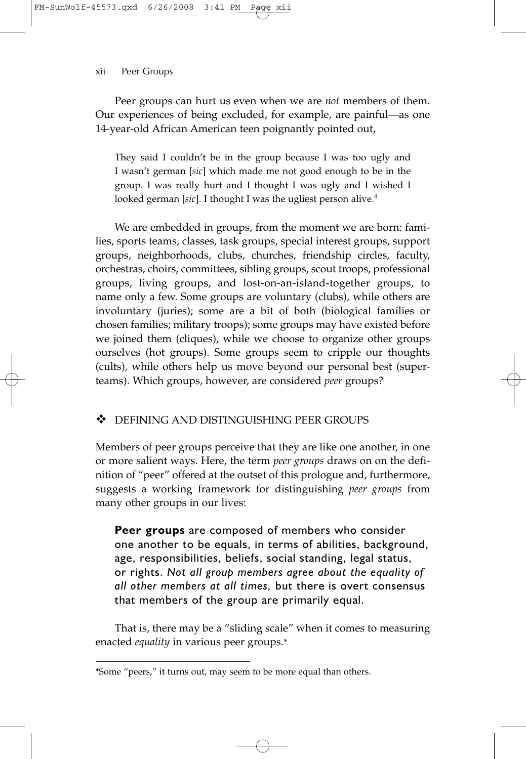xii Peer Groups

Peer groups can hurt us even when we are *not* members of them. Our experiences of being excluded, for example, are painful—as one 14-year-old African American teen poignantly pointed out,

They said I couldn't be in the group because I was too ugly and I wasn't german [*sic*] which made me not good enough to be in the group. I was really hurt and I thought I was ugly and I wished I looked german [sic]. I thought I was the ugliest person alive.<sup>4</sup>

We are embedded in groups, from the moment we are born: families, sports teams, classes, task groups, special interest groups, support groups, neighborhoods, clubs, churches, friendship circles, faculty, orchestras, choirs, committees, sibling groups, scout troops, professional groups, living groups, and lost-on-an-island-together groups, to name only a few. Some groups are voluntary (clubs), while others are involuntary (juries); some are a bit of both (biological families or chosen families; military troops); some groups may have existed before we joined them (cliques), while we choose to organize other groups ourselves (hot groups). Some groups seem to cripple our thoughts (cults), while others help us move beyond our personal best (superteams). Which groups, however, are considered *peer* groups?

#### -DEFINING AND DISTINGUISHING PEER GROUPS

Members of peer groups perceive that they are like one another, in one or more salient ways. Here, the term *peer groups* draws on on the definition of "peer" offered at the outset of this prologue and, furthermore, suggests a working framework for distinguishing *peer groups* from many other groups in our lives:

**Peer groups** are composed of members who consider one another to be equals, in terms of abilities, background, age, responsibilities, beliefs, social standing, legal status, or rights. *Not all group members agree about the equality of all other members at all times,* but there is overt consensus that members of the group are primarily equal.

That is, there may be a "sliding scale" when it comes to measuring enacted *equality* in various peer groups.\*

<sup>\*</sup>Some "peers," it turns out, may seem to be more equal than others.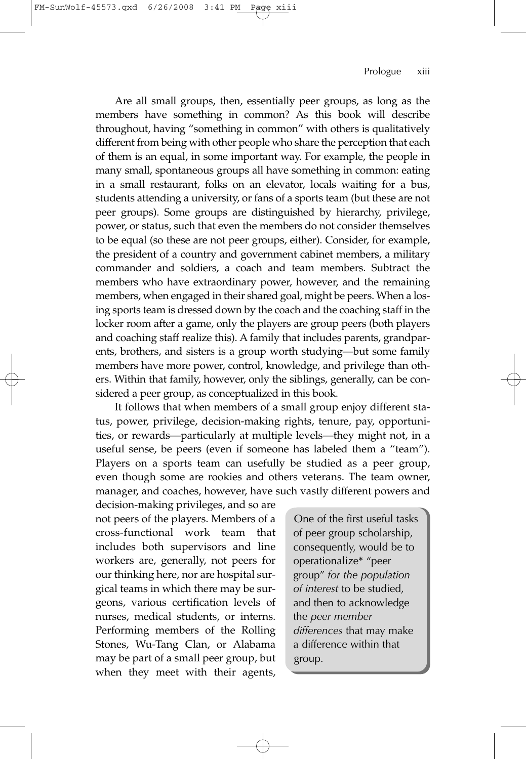Are all small groups, then, essentially peer groups, as long as the members have something in common? As this book will describe throughout, having "something in common" with others is qualitatively different from being with other people who share the perception that each of them is an equal, in some important way. For example, the people in many small, spontaneous groups all have something in common: eating in a small restaurant, folks on an elevator, locals waiting for a bus, students attending a university, or fans of a sports team (but these are not peer groups). Some groups are distinguished by hierarchy, privilege, power, or status, such that even the members do not consider themselves to be equal (so these are not peer groups, either). Consider, for example, the president of a country and government cabinet members, a military commander and soldiers, a coach and team members. Subtract the members who have extraordinary power, however, and the remaining members, when engaged in their shared goal, might be peers. When a losing sports team is dressed down by the coach and the coaching staff in the locker room after a game, only the players are group peers (both players and coaching staff realize this). A family that includes parents, grandparents, brothers, and sisters is a group worth studying—but some family members have more power, control, knowledge, and privilege than others. Within that family, however, only the siblings, generally, can be considered a peer group, as conceptualized in this book.

It follows that when members of a small group enjoy different status, power, privilege, decision-making rights, tenure, pay, opportunities, or rewards—particularly at multiple levels—they might not, in a useful sense, be peers (even if someone has labeled them a "team"). Players on a sports team can usefully be studied as a peer group, even though some are rookies and others veterans. The team owner, manager, and coaches, however, have such vastly different powers and

decision-making privileges, and so are not peers of the players. Members of a cross-functional work team that includes both supervisors and line workers are, generally, not peers for our thinking here, nor are hospital surgical teams in which there may be surgeons, various certification levels of nurses, medical students, or interns. Performing members of the Rolling Stones, Wu-Tang Clan, or Alabama may be part of a small peer group, but when they meet with their agents,

One of the first useful tasks of peer group scholarship, consequently, would be to operationalize\* "peer group" *for the population of interest* to be studied, and then to acknowledge the *peer member differences* that may make a difference within that group.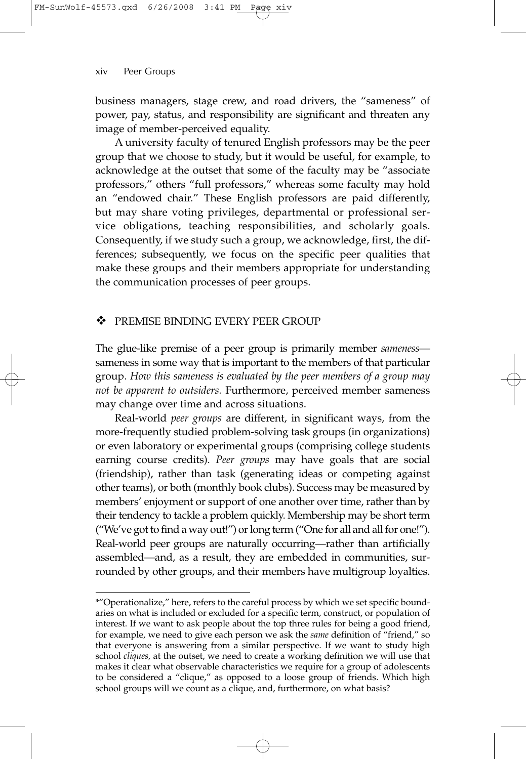# xiv Peer Groups

business managers, stage crew, and road drivers, the "sameness" of power, pay, status, and responsibility are significant and threaten any image of member-perceived equality.

A university faculty of tenured English professors may be the peer group that we choose to study, but it would be useful, for example, to acknowledge at the outset that some of the faculty may be "associate professors," others "full professors," whereas some faculty may hold an "endowed chair." These English professors are paid differently, but may share voting privileges, departmental or professional service obligations, teaching responsibilities, and scholarly goals. Consequently, if we study such a group, we acknowledge, first, the differences; subsequently, we focus on the specific peer qualities that make these groups and their members appropriate for understanding the communication processes of peer groups.

#### $\ddot{\cdot}$ PREMISE BINDING EVERY PEER GROUP

The glue-like premise of a peer group is primarily member *sameness* sameness in some way that is important to the members of that particular group. *How this sameness is evaluated by the peer members of a group may not be apparent to outsiders.* Furthermore, perceived member sameness may change over time and across situations.

Real-world *peer groups* are different, in significant ways, from the more-frequently studied problem-solving task groups (in organizations) or even laboratory or experimental groups (comprising college students earning course credits). *Peer groups* may have goals that are social (friendship), rather than task (generating ideas or competing against other teams), or both (monthly book clubs). Success may be measured by members' enjoyment or support of one another over time, rather than by their tendency to tackle a problem quickly. Membership may be short term ("We've got to find a way out!") or long term ("One for all and all for one!"). Real-world peer groups are naturally occurring—rather than artificially assembled—and, as a result, they are embedded in communities, surrounded by other groups, and their members have multigroup loyalties.

<sup>\*&</sup>quot;Operationalize," here, refers to the careful process by which we set specific boundaries on what is included or excluded for a specific term, construct, or population of interest. If we want to ask people about the top three rules for being a good friend, for example, we need to give each person we ask the *same* definition of "friend," so that everyone is answering from a similar perspective. If we want to study high school *cliques,* at the outset, we need to create a working definition we will use that makes it clear what observable characteristics we require for a group of adolescents to be considered a "clique," as opposed to a loose group of friends. Which high school groups will we count as a clique, and, furthermore, on what basis?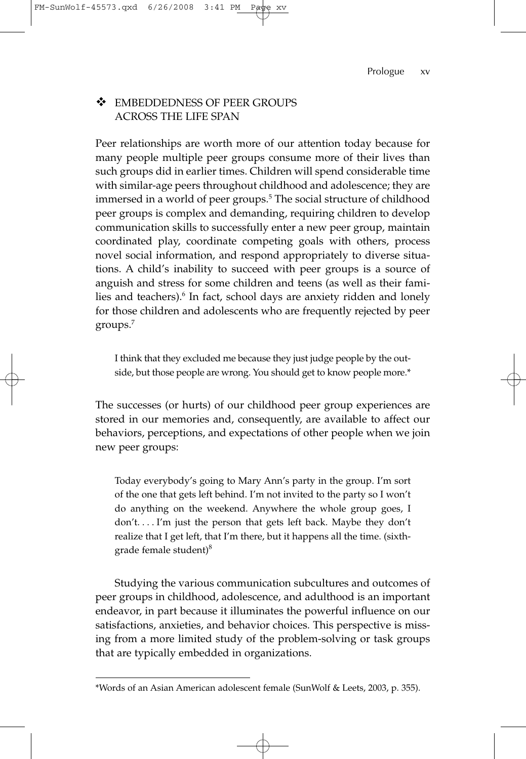# $FM-SunWolf-45573.qxd 6/26/2008 3:41$

# - EMBEDDEDNESS OF PEER GROUPS ACROSS THE LIFE SPAN

Peer relationships are worth more of our attention today because for many people multiple peer groups consume more of their lives than such groups did in earlier times. Children will spend considerable time with similar-age peers throughout childhood and adolescence; they are immersed in a world of peer groups.<sup>5</sup> The social structure of childhood peer groups is complex and demanding, requiring children to develop communication skills to successfully enter a new peer group, maintain coordinated play, coordinate competing goals with others, process novel social information, and respond appropriately to diverse situations. A child's inability to succeed with peer groups is a source of anguish and stress for some children and teens (as well as their families and teachers).<sup>6</sup> In fact, school days are anxiety ridden and lonely for those children and adolescents who are frequently rejected by peer groups.7

I think that they excluded me because they just judge people by the outside, but those people are wrong. You should get to know people more.\*

The successes (or hurts) of our childhood peer group experiences are stored in our memories and, consequently, are available to affect our behaviors, perceptions, and expectations of other people when we join new peer groups:

Today everybody's going to Mary Ann's party in the group. I'm sort of the one that gets left behind. I'm not invited to the party so I won't do anything on the weekend. Anywhere the whole group goes, I don't.... I'm just the person that gets left back. Maybe they don't realize that I get left, that I'm there, but it happens all the time. (sixthgrade female student)<sup>8</sup>

Studying the various communication subcultures and outcomes of peer groups in childhood, adolescence, and adulthood is an important endeavor, in part because it illuminates the powerful influence on our satisfactions, anxieties, and behavior choices. This perspective is missing from a more limited study of the problem-solving or task groups that are typically embedded in organizations.

<sup>\*</sup>Words of an Asian American adolescent female (SunWolf & Leets, 2003, p. 355).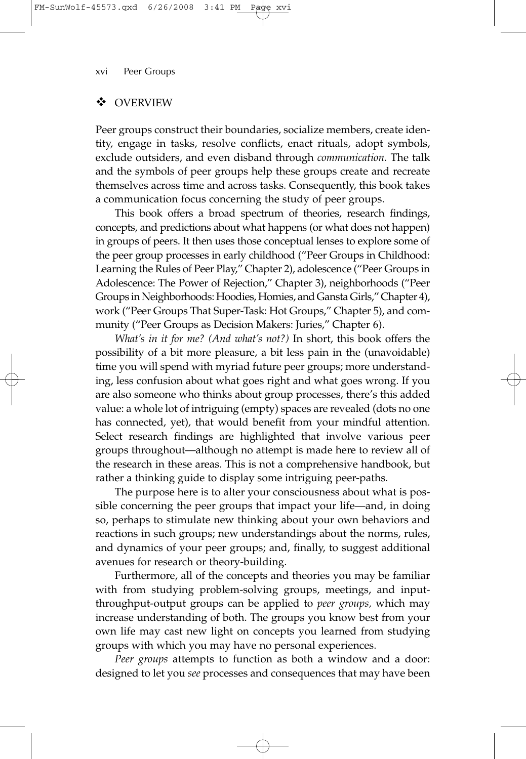# xvi Peer Groups

#### $\ddot{\cdot}$ OVERVIEW

Peer groups construct their boundaries, socialize members, create identity, engage in tasks, resolve conflicts, enact rituals, adopt symbols, exclude outsiders, and even disband through *communication.* The talk and the symbols of peer groups help these groups create and recreate themselves across time and across tasks. Consequently, this book takes a communication focus concerning the study of peer groups.

This book offers a broad spectrum of theories, research findings, concepts, and predictions about what happens (or what does not happen) in groups of peers. It then uses those conceptual lenses to explore some of the peer group processes in early childhood ("Peer Groups in Childhood: Learning the Rules of Peer Play," Chapter 2), adolescence ("Peer Groups in Adolescence: The Power of Rejection," Chapter 3), neighborhoods ("Peer Groups in Neighborhoods: Hoodies, Homies, and Gansta Girls," Chapter 4), work ("Peer Groups That Super-Task: Hot Groups," Chapter 5), and community ("Peer Groups as Decision Makers: Juries," Chapter 6).

*What's in it for me? (And what's not?)* In short, this book offers the possibility of a bit more pleasure, a bit less pain in the (unavoidable) time you will spend with myriad future peer groups; more understanding, less confusion about what goes right and what goes wrong. If you are also someone who thinks about group processes, there's this added value: a whole lot of intriguing (empty) spaces are revealed (dots no one has connected, yet), that would benefit from your mindful attention. Select research findings are highlighted that involve various peer groups throughout—although no attempt is made here to review all of the research in these areas. This is not a comprehensive handbook, but rather a thinking guide to display some intriguing peer-paths.

The purpose here is to alter your consciousness about what is possible concerning the peer groups that impact your life—and, in doing so, perhaps to stimulate new thinking about your own behaviors and reactions in such groups; new understandings about the norms, rules, and dynamics of your peer groups; and, finally, to suggest additional avenues for research or theory-building.

Furthermore, all of the concepts and theories you may be familiar with from studying problem-solving groups, meetings, and inputthroughput-output groups can be applied to *peer groups,* which may increase understanding of both. The groups you know best from your own life may cast new light on concepts you learned from studying groups with which you may have no personal experiences.

*Peer groups* attempts to function as both a window and a door: designed to let you *see* processes and consequences that may have been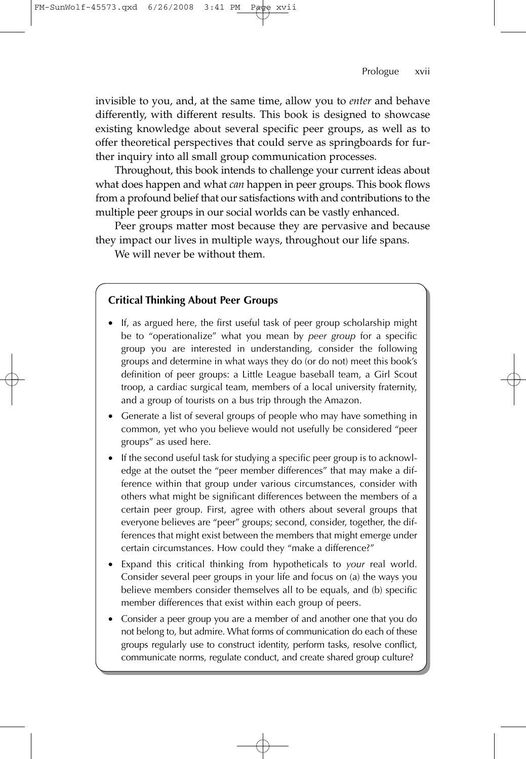invisible to you, and, at the same time, allow you to *enter* and behave differently, with different results. This book is designed to showcase existing knowledge about several specific peer groups, as well as to offer theoretical perspectives that could serve as springboards for further inquiry into all small group communication processes.

Throughout, this book intends to challenge your current ideas about what does happen and what *can* happen in peer groups. This book flows from a profound belief that our satisfactions with and contributions to the multiple peer groups in our social worlds can be vastly enhanced.

Peer groups matter most because they are pervasive and because they impact our lives in multiple ways, throughout our life spans.

We will never be without them.

# **Critical Thinking About Peer Groups**

- If, as argued here, the first useful task of peer group scholarship might be to "operationalize" what you mean by *peer group* for a specific group you are interested in understanding, consider the following groups and determine in what ways they do (or do not) meet this book's definition of peer groups: a Little League baseball team, a Girl Scout troop, a cardiac surgical team, members of a local university fraternity, and a group of tourists on a bus trip through the Amazon.
- Generate a list of several groups of people who may have something in common, yet who you believe would not usefully be considered "peer groups" as used here.
- If the second useful task for studying a specific peer group is to acknowledge at the outset the "peer member differences" that may make a difference within that group under various circumstances, consider with others what might be significant differences between the members of a certain peer group. First, agree with others about several groups that everyone believes are "peer" groups; second, consider, together, the differences that might exist between the members that might emerge under certain circumstances. How could they "make a difference?"
- Expand this critical thinking from hypotheticals to *your* real world. Consider several peer groups in your life and focus on (a) the ways you believe members consider themselves all to be equals, and (b) specific member differences that exist within each group of peers.
- Consider a peer group you are a member of and another one that you do not belong to, but admire. What forms of communication do each of these groups regularly use to construct identity, perform tasks, resolve conflict, communicate norms, regulate conduct, and create shared group culture?